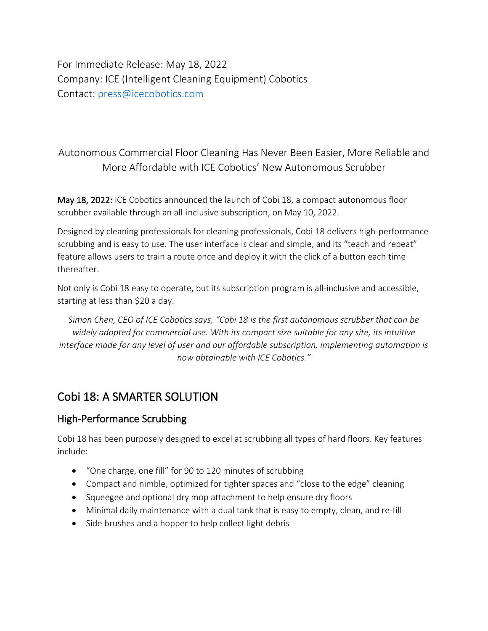For Immediate Release: May 18, 2022 Company: ICE (Intelligent Cleaning Equipment) Cobotics Contact: [press@icecobotics.com](mailto:press@icecobotics.com)

# Autonomous Commercial Floor Cleaning Has Never Been Easier, More Reliable and More Affordable with ICE Cobotics' New Autonomous Scrubber

May 18, 2022: ICE Cobotics announced the launch of Cobi 18, a compact autonomous floor scrubber available through an all-inclusive subscription, on May 10, 2022.

Designed by cleaning professionals for cleaning professionals, Cobi 18 delivers high-performance scrubbing and is easy to use. The user interface is clear and simple, and its "teach and repeat" feature allows users to train a route once and deploy it with the click of a button each time thereafter.

Not only is Cobi 18 easy to operate, but its subscription program is all-inclusive and accessible, starting at less than \$20 a day.

*Simon Chen, CEO of ICE Cobotics says, "Cobi 18 is the first autonomous scrubber that can be widely adopted for commercial use. With its compact size suitable for any site, its intuitive interface made for any level of user and our affordable subscription, implementing automation is now obtainable with ICE Cobotics."*

# Cobi 18: A SMARTER SOLUTION

## High-Performance Scrubbing

Cobi 18 has been purposely designed to excel at scrubbing all types of hard floors. Key features include:

- "One charge, one fill" for 90 to 120 minutes of scrubbing
- Compact and nimble, optimized for tighter spaces and "close to the edge" cleaning
- Squeegee and optional dry mop attachment to help ensure dry floors
- Minimal daily maintenance with a dual tank that is easy to empty, clean, and re-fill
- Side brushes and a hopper to help collect light debris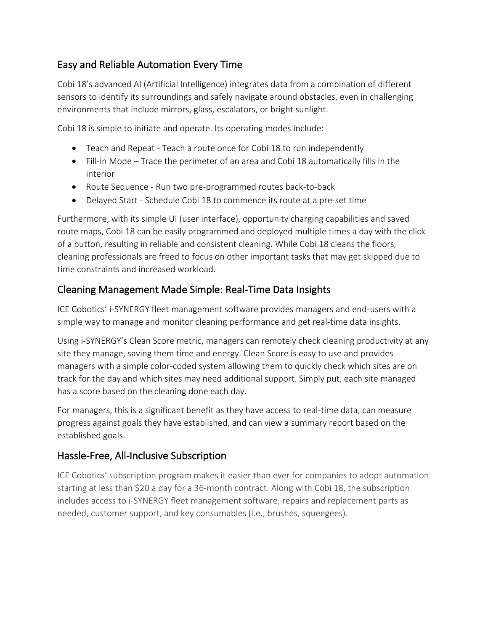## Easy and Reliable Automation Every Time

Cobi 18's advanced AI (Artificial Intelligence) integrates data from a combination of different sensors to identify its surroundings and safely navigate around obstacles, even in challenging environments that include mirrors, glass, escalators, or bright sunlight.

Cobi 18 is simple to initiate and operate. Its operating modes include:

- Teach and Repeat Teach a route once for Cobi 18 to run independently
- Fill-in Mode Trace the perimeter of an area and Cobi 18 automatically fills in the interior
- Route Sequence Run two pre-programmed routes back-to-back
- Delayed Start Schedule Cobi 18 to commence its route at a pre-set time

Furthermore, with its simple UI (user interface), opportunity charging capabilities and saved route maps, Cobi 18 can be easily programmed and deployed multiple times a day with the click of a button, resulting in reliable and consistent cleaning. While Cobi 18 cleans the floors, cleaning professionals are freed to focus on other important tasks that may get skipped due to time constraints and increased workload.

## Cleaning Management Made Simple: Real-Time Data Insights

ICE Cobotics' i-SYNERGY fleet management software provides managers and end-users with a simple way to manage and monitor cleaning performance and get real-time data insights.

Using i-SYNERGY's Clean Score metric, managers can remotely check cleaning productivity at any site they manage, saving them time and energy. Clean Score is easy to use and provides managers with a simple color-coded system allowing them to quickly check which sites are on track for the day and which sites may need additional support. Simply put, each site managed has a score based on the cleaning done each day.

For managers, this is a significant benefit as they have access to real-time data, can measure progress against goals they have established, and can view a summary report based on the established goals.

## Hassle-Free, All-Inclusive Subscription

ICE Cobotics' subscription program makes it easier than ever for companies to adopt automation starting at less than \$20 a day for a 36-month contract. Along with Cobi 18, the subscription includes access to i-SYNERGY fleet management software, repairs and replacement parts as needed, customer support, and key consumables (i.e., brushes, squeegees).